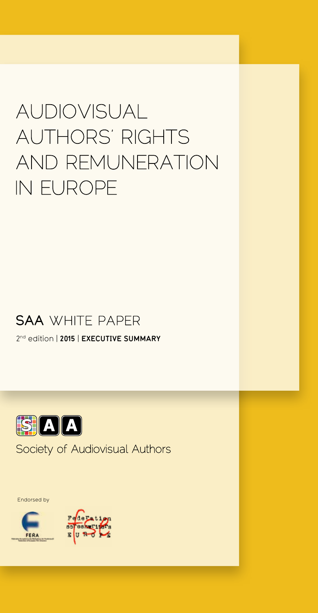# AUDIOVISUAL AUTHORS' RIGHTS AND REMUNERATION **IN EUROPE**

# **SAA WHITE PAPER**

2nd edition | **2015** | **Executive summary**



# Society of Audiovisual Authors

Endorsed by

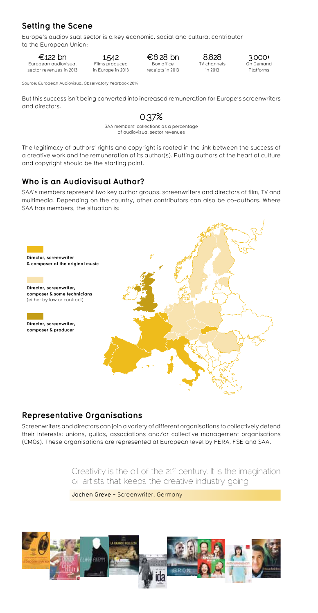# **Setting the Scene**

Europe's audiovisual sector is a key economic, social and cultural contributor to the European Union:

#### $€122$  bn

European audiovisual sector revenues in 2013

1,542 Films produced in Europe in 2013

#### $€6.28$  bn Box office

receipts in 2013

8,828 TV channels in 2013

3,000+ On Demand Platforms

Source: European Audiovisual Observatory Yearbook 2014

But this success isn't being converted into increased remuneration for Europe's screenwriters and directors.

# 0.37%

SAA members' collections as a percentage of audiovisual sector revenues

The legitimacy of authors' rights and copyright is rooted in the link between the success of a creative work and the remuneration of its author(s). Putting authors at the heart of culture and copyright should be the starting point.

## **Who is an Audiovisual Author?**

SAA's members represent two key author groups: screenwriters and directors of film, TV and multimedia. Depending on the country, other contributors can also be co-authors. Where SAA has members, the situation is:



### **Representative Organisations**

Screenwriters and directors can join a variety of different organisations to collectively defend their interests: unions, guilds, associations and/or collective management organisations (CMOs). These organisations are represented at European level by FERA, FSE and SAA.

> Creativity is the oil of the 21<sup>st</sup> century. It is the imagination of artists that keeps the creative industry going.

Jochen Greve - Screenwriter, Germany

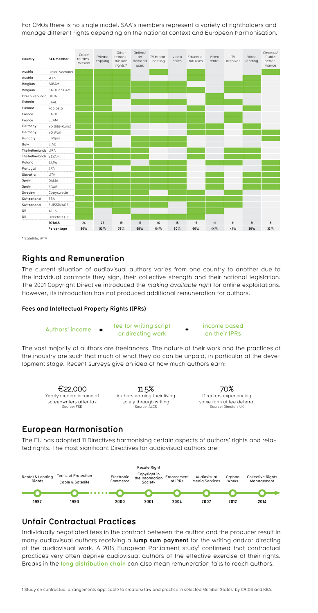For CMOs there is no single model. SAA's members represent a variety of rightholders and manage different rights depending on the national context and European harmonisation.



\* Satellite, iPTV

#### **Rights and Remuneration**

The current situation of audiovisual authors varies from one country to another due to the individual contracts they sign, their collective strength and their national legislation. The 2001 Copyright Directive introduced the making available right for online exploitations. However, its introduction has not produced additional remuneration for authors.

#### **Fees and Intellectual Property Rights (IPRs)**

 $\Delta$ uthors' income  $\equiv$  fee for writing script or directing work on their IPRs **= +**

# income based

The vast majority of authors are freelancers. The nature of their work and the practices of the industry are such that much of what they do can be unpaid, in particular at the development stage. Recent surveys give an idea of how much authors earn:



#### **European Harmonisation**

The EU has adopted 11 Directives harmonising certain aspects of authors' rights and related rights. The most significant Directives for audiovisual authors are:



#### **Unfair Contractual Practices**

Individually negotiated fees in the contract between the author and the producer result in many audiovisual authors receiving a **lump sum payment** for the writing and/or directing of the audiovisual work. A 2014 European Parliament study<sup>1</sup> confirmed that contractual practices very often deprive audiovisual authors of the effective exercise of their rights. Breaks in the **long distribution chain** can also mean remuneration fails to reach authors.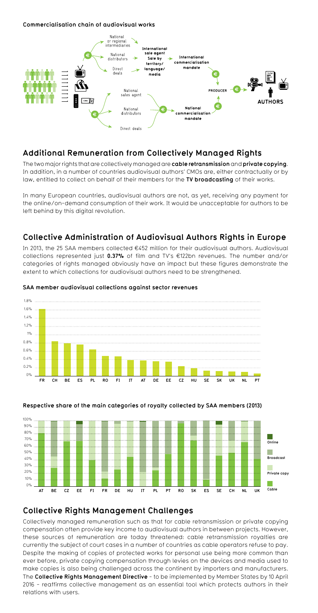#### **Commercialisation chain of audiovisual works**



#### **Additional Remuneration from Collectively Managed Rights**

The two major rights that are collectively managed are **cable retransmission** and **private copying**. In addition, in a number of countries audiovisual authors' CMOs are, either contractually or by law, entitled to collect on behalf of their members for the **TV broadcasting** of their works.

In many European countries, audiovisual authors are not, as yet, receiving any payment for the online/on-demand consumption of their work. It would be unacceptable for authors to be left behind by this digital revolution.

#### **Collective Administration of Audiovisual Authors Rights in Europe**

In 2013, the 25 SAA members collected  $E$ 452 million for their audiovisual authors. Audiovisual collections represented just **0.37%** of film and TV's ¤122bn revenues. The number and/or categories of rights managed obviously have an impact but these figures demonstrate the extent to which collections for audiovisual authors need to be strengthened.



#### **SAA member audiovisual collections against sector revenues**





#### **Collective Rights Management Challenges**

Collectively managed remuneration such as that for cable retransmission or private copying compensation often provide key income to audiovisual authors in between projects. However, these sources of remuneration are today threatened: cable retransmission royalties are currently the subject of court cases in a number of countries as cable operators refuse to pay. Despite the making of copies of protected works for personal use being more common than ever before, private copying compensation through levies on the devices and media used to make copies is also being challenged across the continent by importers and manufacturers. The **Collective Rights Management Directive** - to be implemented by Member States by 10 April 2016 - reaffirms collective management as an essential tool which protects authors in their relations with users.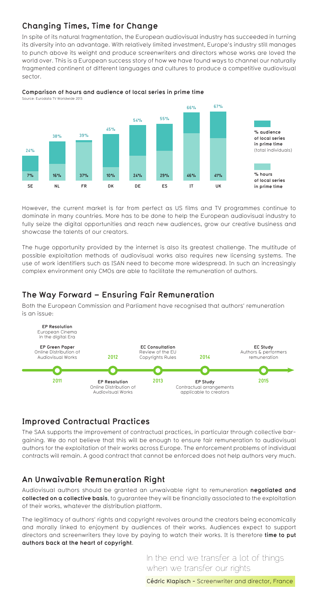# **Changing Times, Time for Change**

In spite of its natural fragmentation, the European audiovisual industry has succeeded in turning its diversity into an advantage. With relatively limited investment, Europe's industry still manages to punch above its weight and produce screenwriters and directors whose works are loved the world over. This is a European success story of how we have found ways to channel our naturally fragmented continent of different languages and cultures to produce a competitive audiovisual sector.



#### **Comparison of hours and audience of local series in prime time**

However, the current market is far from perfect as US films and TV programmes continue to dominate in many countries. More has to be done to help the European audiovisual industry to fully seize the digital opportunities and reach new audiences, grow our creative business and showcase the talents of our creators.

The huge opportunity provided by the internet is also its greatest challenge. The multitude of possible exploitation methods of audiovisual works also requires new licensing systems. The use of work identifiers such as ISAN need to become more widespread. In such an increasingly complex environment only CMOs are able to facilitate the remuneration of authors.

#### **The Way Forward – Ensuring Fair Remuneration**

Both the European Commission and Parliament have recognised that authors' remuneration is an issue:



#### **Improved Contractual Practices**

The SAA supports the improvement of contractual practices, in particular through collective bargaining. We do not believe that this will be enough to ensure fair remuneration to audiovisual authors for the exploitation of their works across Europe. The enforcement problems of individual contracts will remain. A good contract that cannot be enforced does not help authors very much.

#### **An Unwaivable Remuneration Right**

Audiovisual authors should be granted an unwaivable right to remuneration **negotiated and collected on a collective basis**, to guarantee they will be financially associated to the exploitation of their works, whatever the distribution platform.

The legitimacy of authors' rights and copyright revolves around the creators being economically and morally linked to enjoyment by audiences of their works. Audiences expect to support directors and screenwriters they love by paying to watch their works. It is therefore **time to put authors back at the heart of copyright**.

> In the end we transfer a lot of things when we transfer our rights